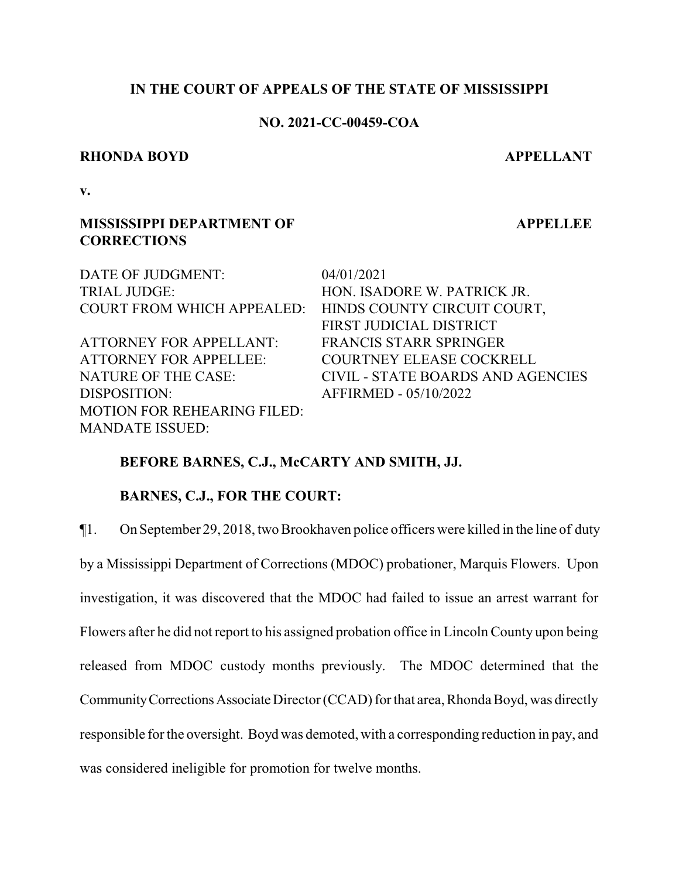## **IN THE COURT OF APPEALS OF THE STATE OF MISSISSIPPI**

## **NO. 2021-CC-00459-COA**

#### **RHONDA BOYD APPELLANT**

**APPELLEE**

**v.**

## **MISSISSIPPI DEPARTMENT OF CORRECTIONS**

MOTION FOR REHEARING FILED:

MANDATE ISSUED:

DATE OF JUDGMENT: 04/01/2021 TRIAL JUDGE: HON. ISADORE W. PATRICK JR. COURT FROM WHICH APPEALED: HINDS COUNTY CIRCUIT COURT, FIRST JUDICIAL DISTRICT ATTORNEY FOR APPELLANT: FRANCIS STARR SPRINGER ATTORNEY FOR APPELLEE: COURTNEY ELEASE COCKRELL NATURE OF THE CASE: CIVIL - STATE BOARDS AND AGENCIES DISPOSITION: AFFIRMED - 05/10/2022

## **BEFORE BARNES, C.J., McCARTY AND SMITH, JJ.**

#### **BARNES, C.J., FOR THE COURT:**

¶1. On September 29, 2018, two Brookhaven police officers were killed in the line of duty by a Mississippi Department of Corrections (MDOC) probationer, Marquis Flowers. Upon investigation, it was discovered that the MDOC had failed to issue an arrest warrant for Flowers after he did not report to his assigned probation office in Lincoln County upon being released from MDOC custody months previously. The MDOC determined that the Community Corrections Associate Director (CCAD) for that area, Rhonda Boyd, was directly responsible for the oversight. Boyd was demoted, with a corresponding reduction in pay, and was considered ineligible for promotion for twelve months.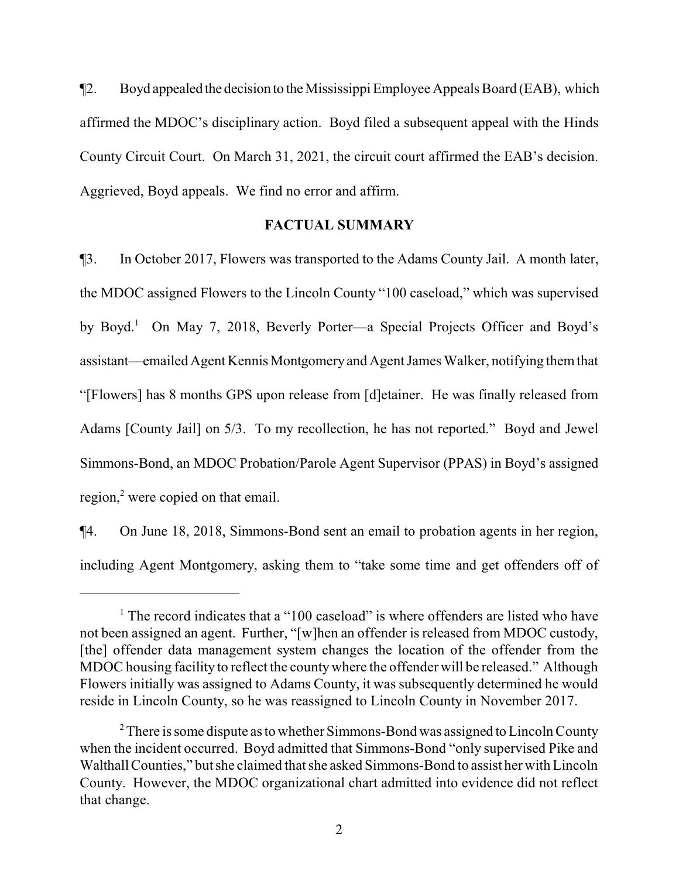¶2. Boyd appealed the decision to the Mississippi Employee Appeals Board (EAB), which affirmed the MDOC's disciplinary action. Boyd filed a subsequent appeal with the Hinds County Circuit Court. On March 31, 2021, the circuit court affirmed the EAB's decision. Aggrieved, Boyd appeals. We find no error and affirm.

### **FACTUAL SUMMARY**

¶3. In October 2017, Flowers was transported to the Adams County Jail. A month later, the MDOC assigned Flowers to the Lincoln County "100 caseload," which was supervised by Boyd.<sup>1</sup> On May 7, 2018, Beverly Porter—a Special Projects Officer and Boyd's assistant—emailed Agent Kennis Montgomeryand Agent James Walker, notifying themthat "[Flowers] has 8 months GPS upon release from [d]etainer. He was finally released from Adams [County Jail] on 5/3. To my recollection, he has not reported." Boyd and Jewel Simmons-Bond, an MDOC Probation/Parole Agent Supervisor (PPAS) in Boyd's assigned region,<sup>2</sup> were copied on that email.

¶4. On June 18, 2018, Simmons-Bond sent an email to probation agents in her region, including Agent Montgomery, asking them to "take some time and get offenders off of

<sup>&</sup>lt;sup>1</sup> The record indicates that a "100 caseload" is where offenders are listed who have not been assigned an agent. Further, "[w]hen an offender is released from MDOC custody, [the] offender data management system changes the location of the offender from the MDOC housing facility to reflect the countywhere the offender will be released." Although Flowers initially was assigned to Adams County, it was subsequently determined he would reside in Lincoln County, so he was reassigned to Lincoln County in November 2017.

 $2^2$  There is some dispute as to whether Simmons-Bond was assigned to Lincoln County when the incident occurred. Boyd admitted that Simmons-Bond "only supervised Pike and Walthall Counties," but she claimed that she asked Simmons-Bond to assist her with Lincoln County. However, the MDOC organizational chart admitted into evidence did not reflect that change.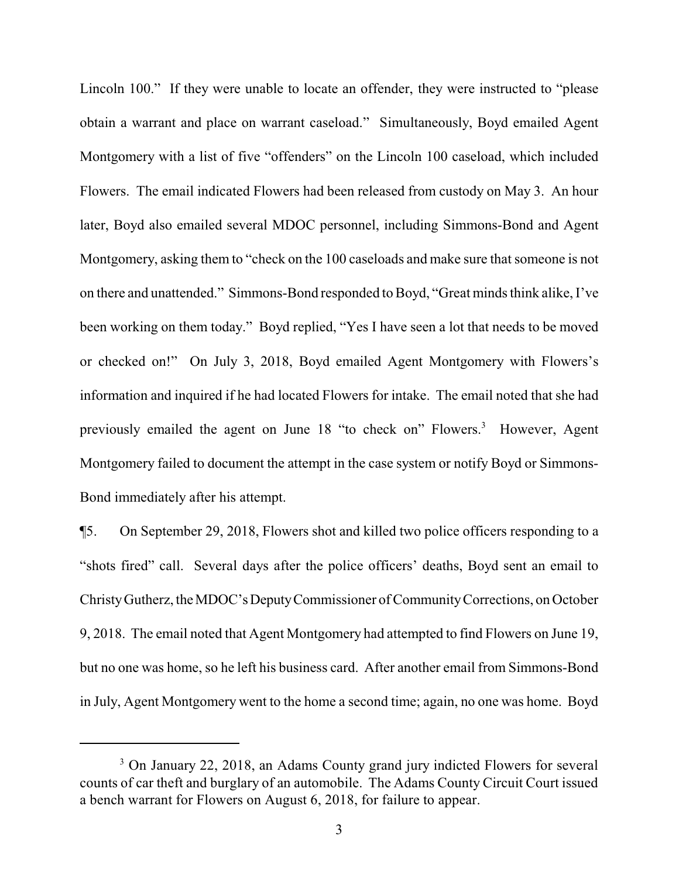Lincoln 100." If they were unable to locate an offender, they were instructed to "please obtain a warrant and place on warrant caseload." Simultaneously, Boyd emailed Agent Montgomery with a list of five "offenders" on the Lincoln 100 caseload, which included Flowers. The email indicated Flowers had been released from custody on May 3. An hour later, Boyd also emailed several MDOC personnel, including Simmons-Bond and Agent Montgomery, asking them to "check on the 100 caseloads and make sure that someone is not on there and unattended." Simmons-Bond responded to Boyd, "Great minds think alike, I've been working on them today." Boyd replied, "Yes I have seen a lot that needs to be moved or checked on!" On July 3, 2018, Boyd emailed Agent Montgomery with Flowers's information and inquired if he had located Flowers for intake. The email noted that she had previously emailed the agent on June 18 "to check on" Flowers.<sup>3</sup> However, Agent Montgomery failed to document the attempt in the case system or notify Boyd or Simmons-Bond immediately after his attempt.

¶5. On September 29, 2018, Flowers shot and killed two police officers responding to a "shots fired" call. Several days after the police officers' deaths, Boyd sent an email to ChristyGutherz, theMDOC'sDeputyCommissioner ofCommunityCorrections, on October 9, 2018. The email noted that Agent Montgomery had attempted to find Flowers on June 19, but no one was home, so he left his business card. After another email from Simmons-Bond in July, Agent Montgomery went to the home a second time; again, no one was home. Boyd

<sup>&</sup>lt;sup>3</sup> On January 22, 2018, an Adams County grand jury indicted Flowers for several counts of car theft and burglary of an automobile. The Adams County Circuit Court issued a bench warrant for Flowers on August 6, 2018, for failure to appear.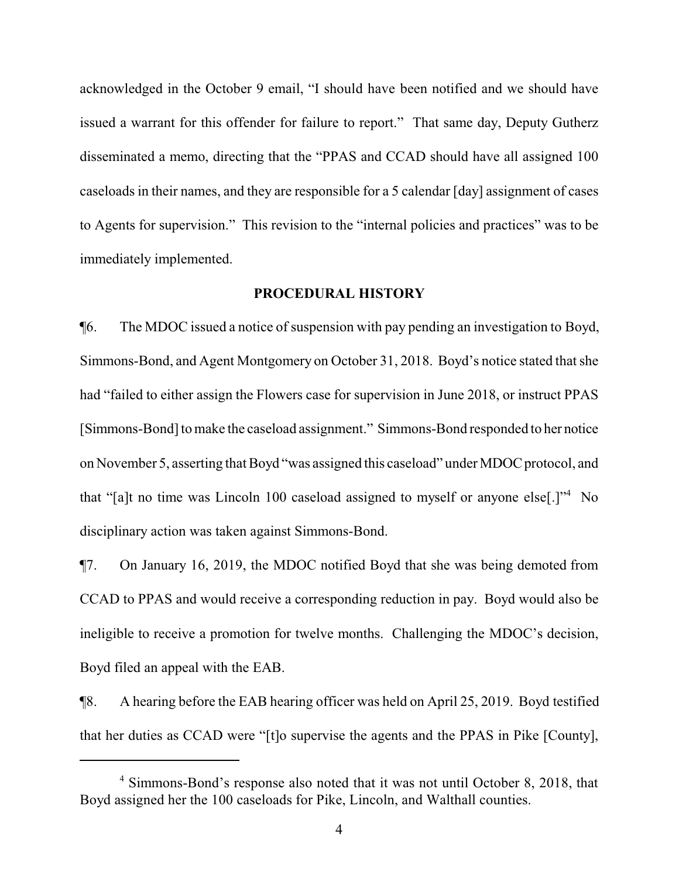acknowledged in the October 9 email, "I should have been notified and we should have issued a warrant for this offender for failure to report." That same day, Deputy Gutherz disseminated a memo, directing that the "PPAS and CCAD should have all assigned 100 caseloads in their names, and they are responsible for a 5 calendar [day] assignment of cases to Agents for supervision." This revision to the "internal policies and practices" was to be immediately implemented.

#### **PROCEDURAL HISTORY**

¶6. The MDOC issued a notice of suspension with pay pending an investigation to Boyd, Simmons-Bond, and Agent Montgomery on October 31, 2018. Boyd's notice stated that she had "failed to either assign the Flowers case for supervision in June 2018, or instruct PPAS [Simmons-Bond] to make the caseload assignment." Simmons-Bond responded to her notice on November 5, asserting that Boyd "was assigned this caseload" under MDOC protocol, and that "[a]t no time was Lincoln 100 caseload assigned to myself or anyone else[.]"<sup>4</sup> No disciplinary action was taken against Simmons-Bond.

¶7. On January 16, 2019, the MDOC notified Boyd that she was being demoted from CCAD to PPAS and would receive a corresponding reduction in pay. Boyd would also be ineligible to receive a promotion for twelve months. Challenging the MDOC's decision, Boyd filed an appeal with the EAB.

¶8. A hearing before the EAB hearing officer was held on April 25, 2019. Boyd testified that her duties as CCAD were "[t]o supervise the agents and the PPAS in Pike [County],

<sup>4</sup> Simmons-Bond's response also noted that it was not until October 8, 2018, that Boyd assigned her the 100 caseloads for Pike, Lincoln, and Walthall counties.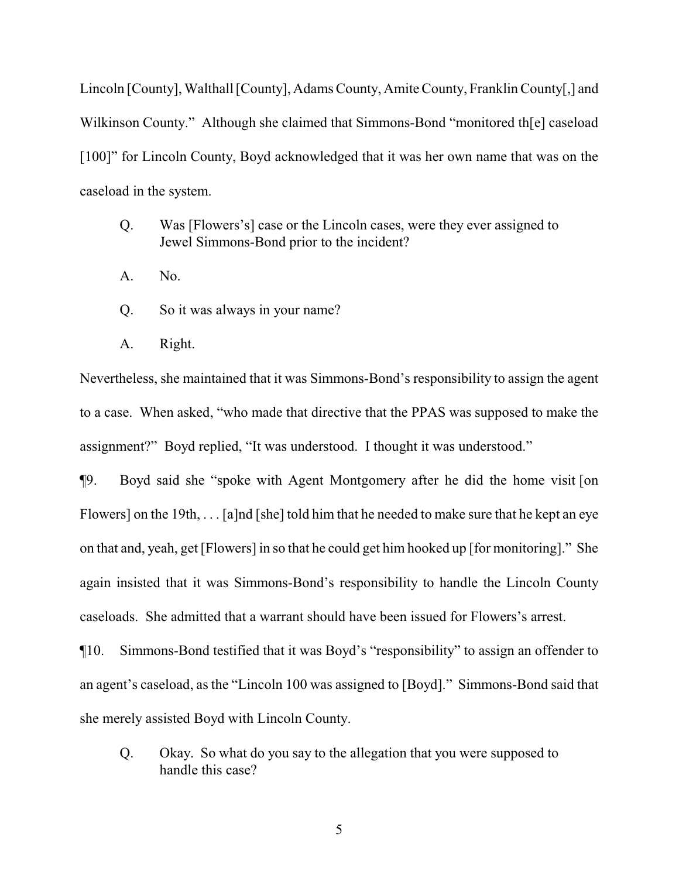Lincoln [County], Walthall [County], Adams County, Amite County, Franklin County[,] and Wilkinson County." Although she claimed that Simmons-Bond "monitored th[e] caseload [100]" for Lincoln County, Boyd acknowledged that it was her own name that was on the caseload in the system.

- Q. Was [Flowers's] case or the Lincoln cases, were they ever assigned to Jewel Simmons-Bond prior to the incident?
- A. No.
- Q. So it was always in your name?
- A. Right.

Nevertheless, she maintained that it was Simmons-Bond's responsibility to assign the agent to a case. When asked, "who made that directive that the PPAS was supposed to make the assignment?" Boyd replied, "It was understood. I thought it was understood."

¶9. Boyd said she "spoke with Agent Montgomery after he did the home visit [on Flowers] on the 19th, . . . [a]nd [she] told him that he needed to make sure that he kept an eye on that and, yeah, get [Flowers] in so that he could get him hooked up [for monitoring]." She again insisted that it was Simmons-Bond's responsibility to handle the Lincoln County caseloads. She admitted that a warrant should have been issued for Flowers's arrest.

¶10. Simmons-Bond testified that it was Boyd's "responsibility" to assign an offender to an agent's caseload, as the "Lincoln 100 was assigned to [Boyd]." Simmons-Bond said that she merely assisted Boyd with Lincoln County.

Q. Okay. So what do you say to the allegation that you were supposed to handle this case?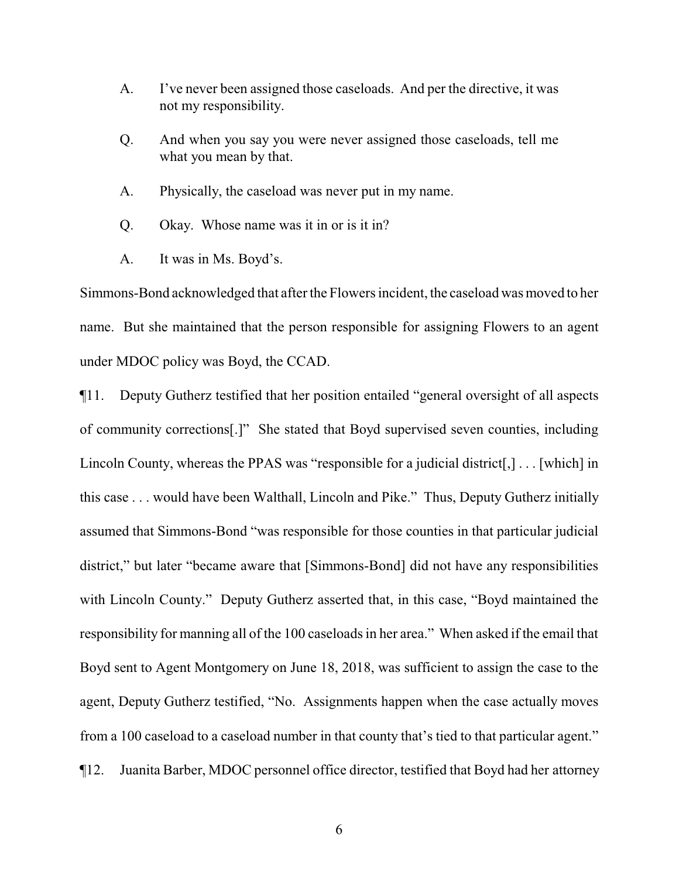- A. I've never been assigned those caseloads. And per the directive, it was not my responsibility.
- Q. And when you say you were never assigned those caseloads, tell me what you mean by that.
- A. Physically, the caseload was never put in my name.
- Q. Okay. Whose name was it in or is it in?
- A. It was in Ms. Boyd's.

Simmons-Bond acknowledged that after the Flowers incident, the caseload was moved to her name. But she maintained that the person responsible for assigning Flowers to an agent under MDOC policy was Boyd, the CCAD.

¶11. Deputy Gutherz testified that her position entailed "general oversight of all aspects of community corrections[.]" She stated that Boyd supervised seven counties, including Lincoln County, whereas the PPAS was "responsible for a judicial district[,] . . . [which] in this case . . . would have been Walthall, Lincoln and Pike." Thus, Deputy Gutherz initially assumed that Simmons-Bond "was responsible for those counties in that particular judicial district," but later "became aware that [Simmons-Bond] did not have any responsibilities with Lincoln County." Deputy Gutherz asserted that, in this case, "Boyd maintained the responsibility for manning all of the 100 caseloads in her area." When asked if the email that Boyd sent to Agent Montgomery on June 18, 2018, was sufficient to assign the case to the agent, Deputy Gutherz testified, "No. Assignments happen when the case actually moves from a 100 caseload to a caseload number in that county that's tied to that particular agent." ¶12. Juanita Barber, MDOC personnel office director, testified that Boyd had her attorney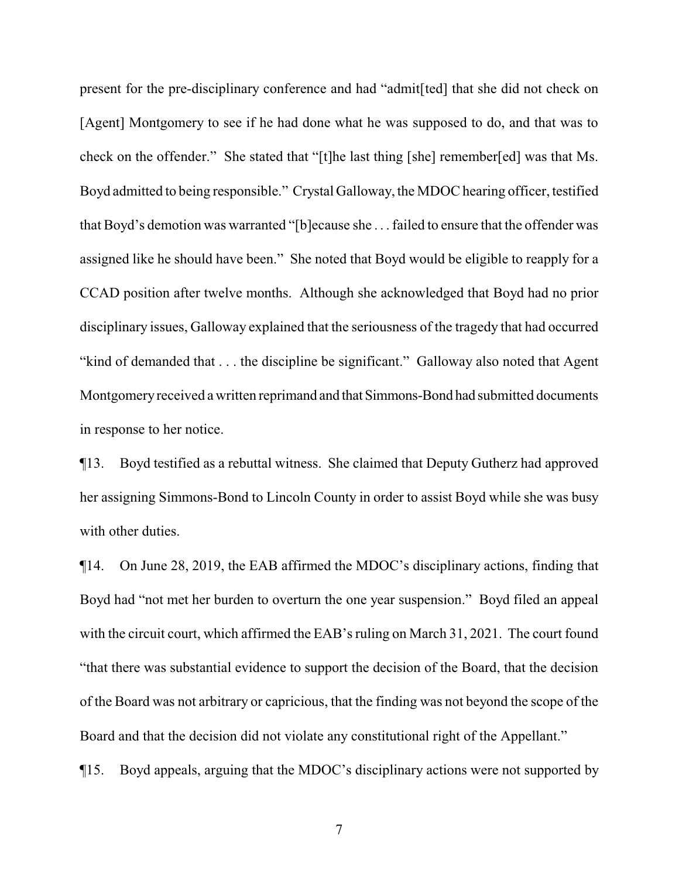present for the pre-disciplinary conference and had "admit[ted] that she did not check on [Agent] Montgomery to see if he had done what he was supposed to do, and that was to check on the offender." She stated that "[t]he last thing [she] remember[ed] was that Ms. Boyd admitted to being responsible." Crystal Galloway, the MDOC hearing officer, testified that Boyd's demotion was warranted "[b]ecause she . . . failed to ensure that the offender was assigned like he should have been." She noted that Boyd would be eligible to reapply for a CCAD position after twelve months. Although she acknowledged that Boyd had no prior disciplinary issues, Galloway explained that the seriousness of the tragedy that had occurred "kind of demanded that . . . the discipline be significant." Galloway also noted that Agent Montgomery received a written reprimand and that Simmons-Bond had submitted documents in response to her notice.

¶13. Boyd testified as a rebuttal witness. She claimed that Deputy Gutherz had approved her assigning Simmons-Bond to Lincoln County in order to assist Boyd while she was busy with other duties.

¶14. On June 28, 2019, the EAB affirmed the MDOC's disciplinary actions, finding that Boyd had "not met her burden to overturn the one year suspension." Boyd filed an appeal with the circuit court, which affirmed the EAB's ruling on March 31, 2021. The court found "that there was substantial evidence to support the decision of the Board, that the decision of the Board was not arbitrary or capricious, that the finding was not beyond the scope of the Board and that the decision did not violate any constitutional right of the Appellant."

¶15. Boyd appeals, arguing that the MDOC's disciplinary actions were not supported by

7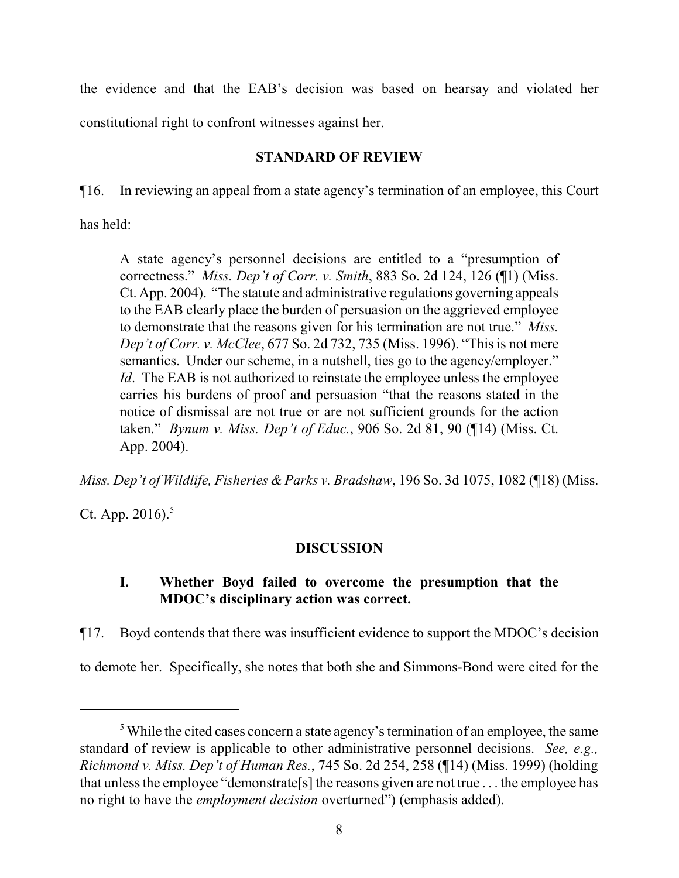the evidence and that the EAB's decision was based on hearsay and violated her constitutional right to confront witnesses against her.

## **STANDARD OF REVIEW**

¶16. In reviewing an appeal from a state agency's termination of an employee, this Court

has held:

A state agency's personnel decisions are entitled to a "presumption of correctness." *Miss. Dep't of Corr. v. Smith*, 883 So. 2d 124, 126 (¶1) (Miss. Ct. App. 2004). "The statute and administrative regulations governing appeals to the EAB clearly place the burden of persuasion on the aggrieved employee to demonstrate that the reasons given for his termination are not true." *Miss. Dep't of Corr. v. McClee*, 677 So. 2d 732, 735 (Miss. 1996). "This is not mere semantics. Under our scheme, in a nutshell, ties go to the agency/employer." *Id*. The EAB is not authorized to reinstate the employee unless the employee carries his burdens of proof and persuasion "that the reasons stated in the notice of dismissal are not true or are not sufficient grounds for the action taken." *Bynum v. Miss. Dep't of Educ.*, 906 So. 2d 81, 90 (¶14) (Miss. Ct. App. 2004).

*Miss. Dep't of Wildlife, Fisheries & Parks v. Bradshaw*, 196 So. 3d 1075, 1082 (¶18) (Miss.

Ct. App.  $2016$ .<sup>5</sup>

## **DISCUSSION**

# **I. Whether Boyd failed to overcome the presumption that the MDOC's disciplinary action was correct.**

¶17. Boyd contends that there was insufficient evidence to support the MDOC's decision to demote her. Specifically, she notes that both she and Simmons-Bond were cited for the

<sup>&</sup>lt;sup>5</sup> While the cited cases concern a state agency's termination of an employee, the same standard of review is applicable to other administrative personnel decisions. *See, e.g., Richmond v. Miss. Dep't of Human Res.*, 745 So. 2d 254, 258 (¶14) (Miss. 1999) (holding that unless the employee "demonstrate[s] the reasons given are not true . . . the employee has no right to have the *employment decision* overturned") (emphasis added).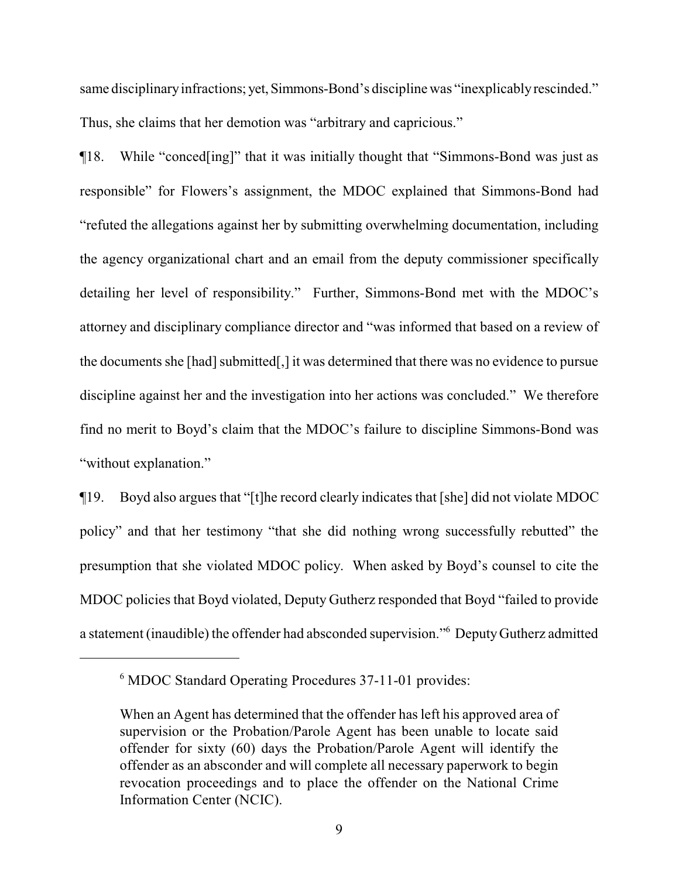same disciplinary infractions; yet, Simmons-Bond's discipline was "inexplicably rescinded." Thus, she claims that her demotion was "arbitrary and capricious."

¶18. While "conced[ing]" that it was initially thought that "Simmons-Bond was just as responsible" for Flowers's assignment, the MDOC explained that Simmons-Bond had "refuted the allegations against her by submitting overwhelming documentation, including the agency organizational chart and an email from the deputy commissioner specifically detailing her level of responsibility." Further, Simmons-Bond met with the MDOC's attorney and disciplinary compliance director and "was informed that based on a review of the documents she [had] submitted[,] it was determined that there was no evidence to pursue discipline against her and the investigation into her actions was concluded." We therefore find no merit to Boyd's claim that the MDOC's failure to discipline Simmons-Bond was "without explanation."

¶19. Boyd also argues that "[t]he record clearly indicates that [she] did not violate MDOC policy" and that her testimony "that she did nothing wrong successfully rebutted" the presumption that she violated MDOC policy. When asked by Boyd's counsel to cite the MDOC policies that Boyd violated, Deputy Gutherz responded that Boyd "failed to provide a statement (inaudible) the offender had absconded supervision."<sup>6</sup> DeputyGutherz admitted

<sup>6</sup> MDOC Standard Operating Procedures 37-11-01 provides:

When an Agent has determined that the offender has left his approved area of supervision or the Probation/Parole Agent has been unable to locate said offender for sixty (60) days the Probation/Parole Agent will identify the offender as an absconder and will complete all necessary paperwork to begin revocation proceedings and to place the offender on the National Crime Information Center (NCIC).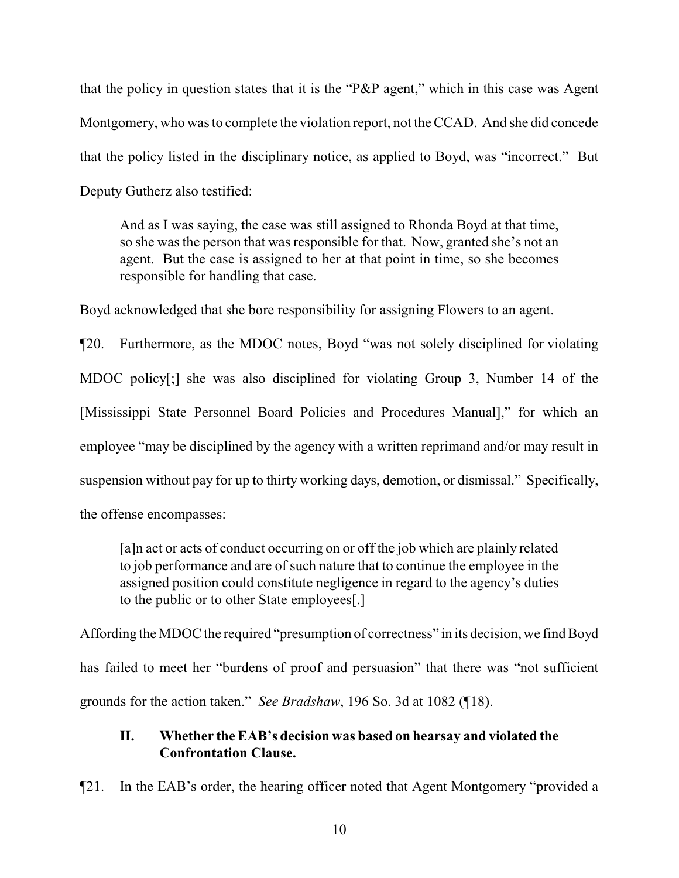that the policy in question states that it is the "P&P agent," which in this case was Agent Montgomery, who was to complete the violation report, not the CCAD. And she did concede that the policy listed in the disciplinary notice, as applied to Boyd, was "incorrect." But Deputy Gutherz also testified:

And as I was saying, the case was still assigned to Rhonda Boyd at that time, so she was the person that was responsible for that. Now, granted she's not an agent. But the case is assigned to her at that point in time, so she becomes responsible for handling that case.

Boyd acknowledged that she bore responsibility for assigning Flowers to an agent.

¶20. Furthermore, as the MDOC notes, Boyd "was not solely disciplined for violating MDOC policy[;] she was also disciplined for violating Group 3, Number 14 of the [Mississippi State Personnel Board Policies and Procedures Manual]," for which an employee "may be disciplined by the agency with a written reprimand and/or may result in suspension without pay for up to thirty working days, demotion, or dismissal." Specifically, the offense encompasses:

[a]n act or acts of conduct occurring on or off the job which are plainly related to job performance and are of such nature that to continue the employee in the assigned position could constitute negligence in regard to the agency's duties to the public or to other State employees[.]

Affording the MDOC the required "presumption of correctness" in its decision, we find Boyd has failed to meet her "burdens of proof and persuasion" that there was "not sufficient grounds for the action taken." *See Bradshaw*, 196 So. 3d at 1082 (¶18).

## **II. Whether the EAB's decision was based on hearsay and violated the Confrontation Clause.**

¶21. In the EAB's order, the hearing officer noted that Agent Montgomery "provided a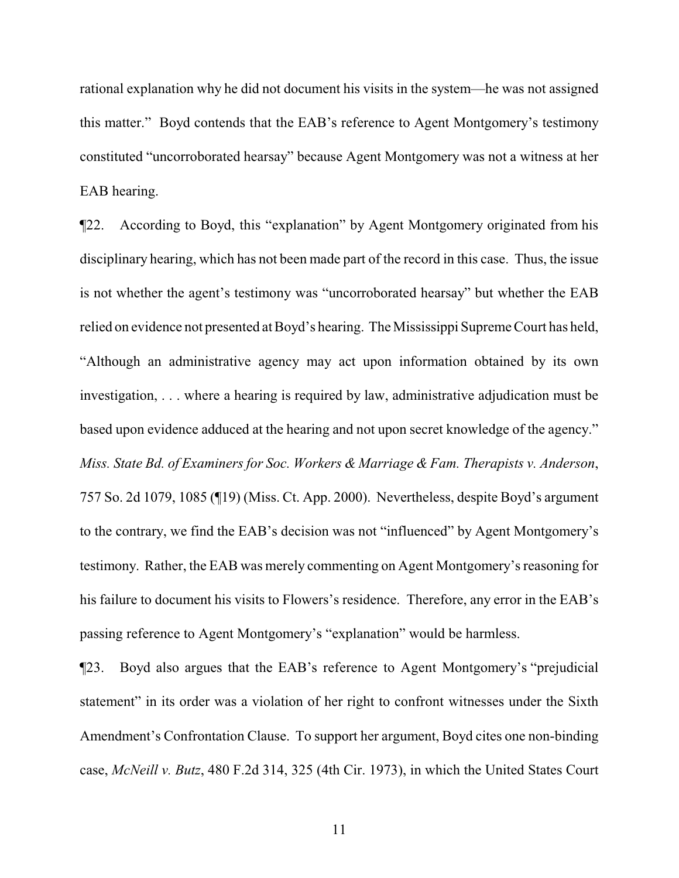rational explanation why he did not document his visits in the system—he was not assigned this matter." Boyd contends that the EAB's reference to Agent Montgomery's testimony constituted "uncorroborated hearsay" because Agent Montgomery was not a witness at her EAB hearing.

¶22. According to Boyd, this "explanation" by Agent Montgomery originated from his disciplinary hearing, which has not been made part of the record in this case. Thus, the issue is not whether the agent's testimony was "uncorroborated hearsay" but whether the EAB relied on evidence not presented at Boyd's hearing. The Mississippi Supreme Court has held, "Although an administrative agency may act upon information obtained by its own investigation, . . . where a hearing is required by law, administrative adjudication must be based upon evidence adduced at the hearing and not upon secret knowledge of the agency." *Miss. State Bd. of Examiners for Soc. Workers & Marriage & Fam. Therapists v. Anderson*, 757 So. 2d 1079, 1085 (¶19) (Miss. Ct. App. 2000). Nevertheless, despite Boyd's argument to the contrary, we find the EAB's decision was not "influenced" by Agent Montgomery's testimony. Rather, the EAB was merely commenting on Agent Montgomery's reasoning for his failure to document his visits to Flowers's residence. Therefore, any error in the EAB's passing reference to Agent Montgomery's "explanation" would be harmless.

¶23. Boyd also argues that the EAB's reference to Agent Montgomery's "prejudicial statement" in its order was a violation of her right to confront witnesses under the Sixth Amendment's Confrontation Clause. To support her argument, Boyd cites one non-binding case, *McNeill v. Butz*, 480 F.2d 314, 325 (4th Cir. 1973), in which the United States Court